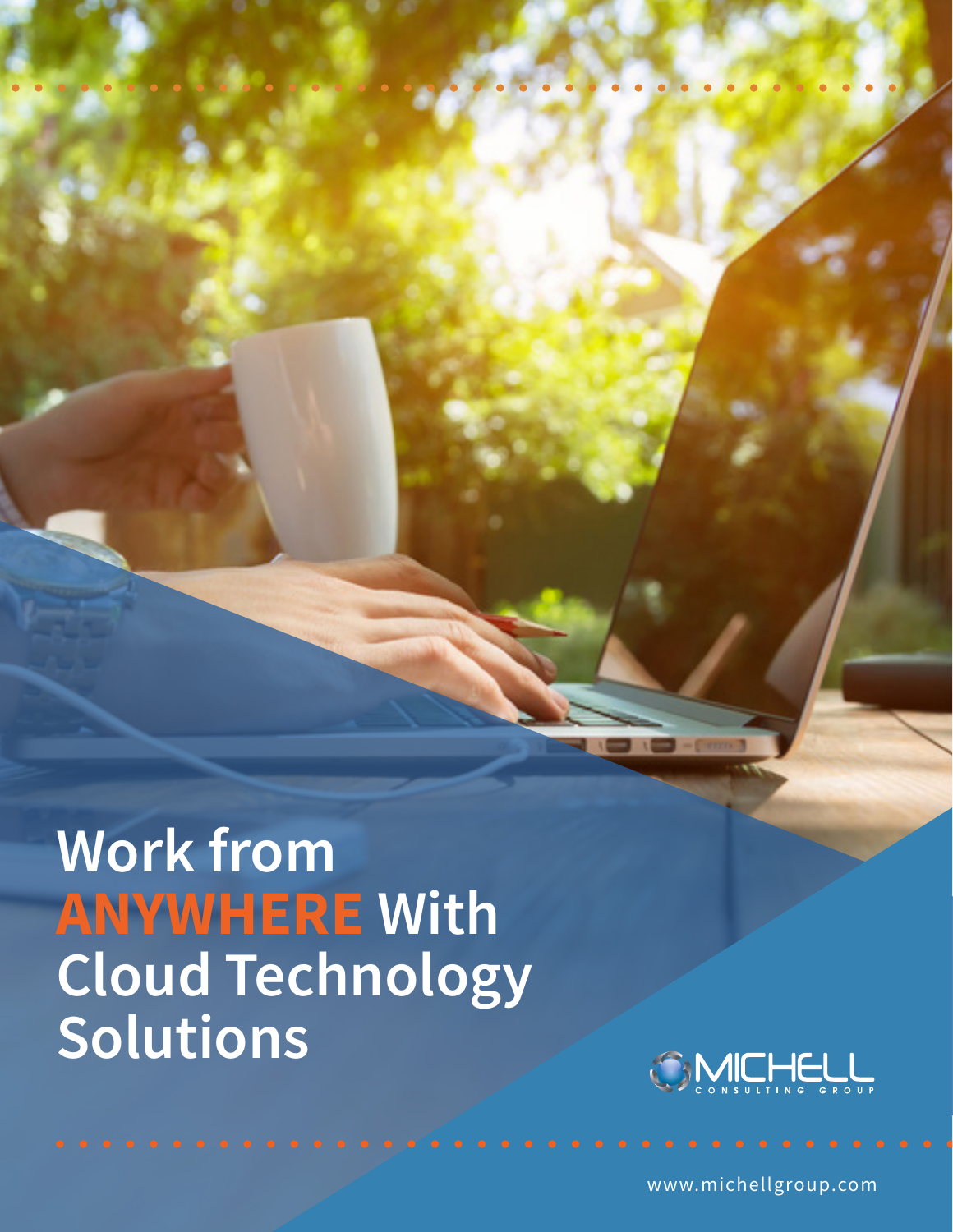**Work from ANYWHERE With Cloud Technology Solutions** 



www.michellgroup.com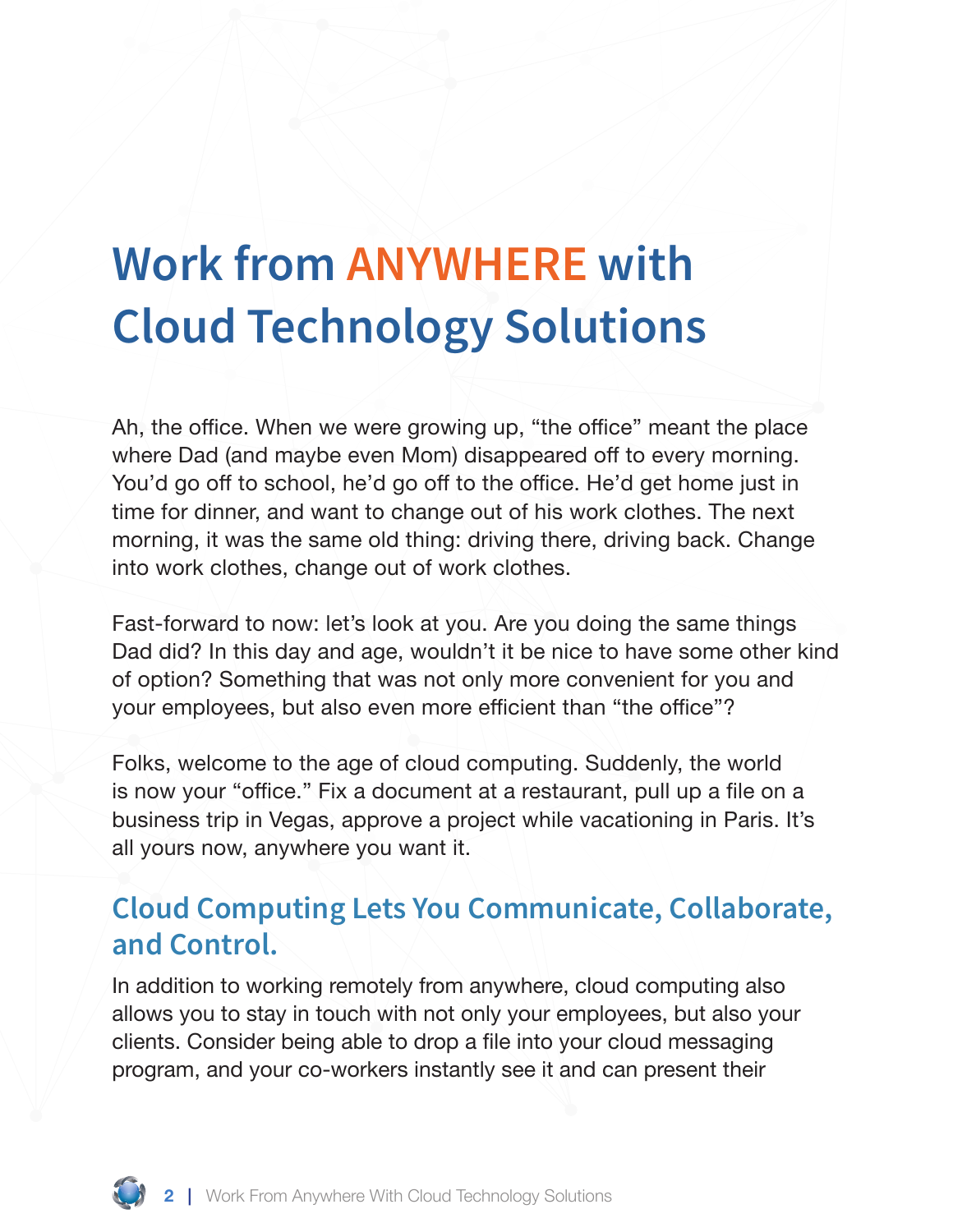## **Work from ANYWHERE with Cloud Technology Solutions**

Ah, the office. When we were growing up, "the office" meant the place where Dad (and maybe even Mom) disappeared off to every morning. You'd go off to school, he'd go off to the office. He'd get home just in time for dinner, and want to change out of his work clothes. The next morning, it was the same old thing: driving there, driving back. Change into work clothes, change out of work clothes.

Fast-forward to now: let's look at you. Are you doing the same things Dad did? In this day and age, wouldn't it be nice to have some other kind of option? Something that was not only more convenient for you and your employees, but also even more efficient than "the office"?

Folks, welcome to the age of cloud computing. Suddenly, the world is now your "office." Fix a document at a restaurant, pull up a file on a business trip in Vegas, approve a project while vacationing in Paris. It's all yours now, anywhere you want it.

## **Cloud Computing Lets You Communicate, Collaborate, and Control.**

In addition to working remotely from anywhere, cloud computing also allows you to stay in touch with not only your employees, but also your clients. Consider being able to drop a file into your cloud messaging program, and your co-workers instantly see it and can present their

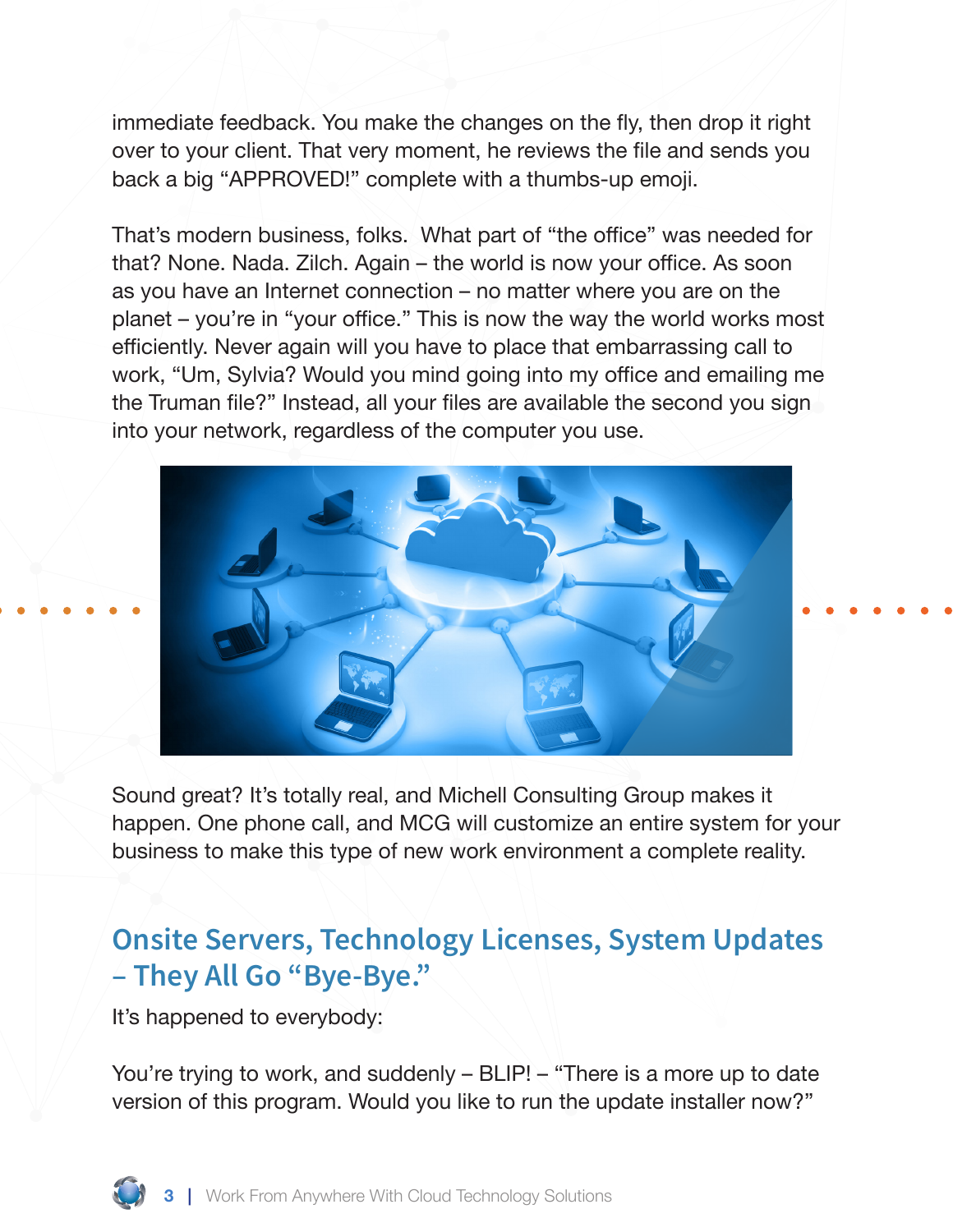immediate feedback. You make the changes on the fly, then drop it right over to your client. That very moment, he reviews the file and sends you back a big "APPROVED!" complete with a thumbs-up emoji.

That's modern business, folks. What part of "the office" was needed for that? None. Nada. Zilch. Again – the world is now your office. As soon as you have an Internet connection – no matter where you are on the planet – you're in "your office." This is now the way the world works most efficiently. Never again will you have to place that embarrassing call to work, "Um, Sylvia? Would you mind going into my office and emailing me the Truman file?" Instead, all your files are available the second you sign into your network, regardless of the computer you use.



Sound great? It's totally real, and Michell Consulting Group makes it happen. One phone call, and MCG will customize an entire system for your business to make this type of new work environment a complete reality.

## **Onsite Servers, Technology Licenses, System Updates – They All Go "Bye-Bye."**

It's happened to everybody:

You're trying to work, and suddenly – BLIP! – "There is a more up to date version of this program. Would you like to run the update installer now?"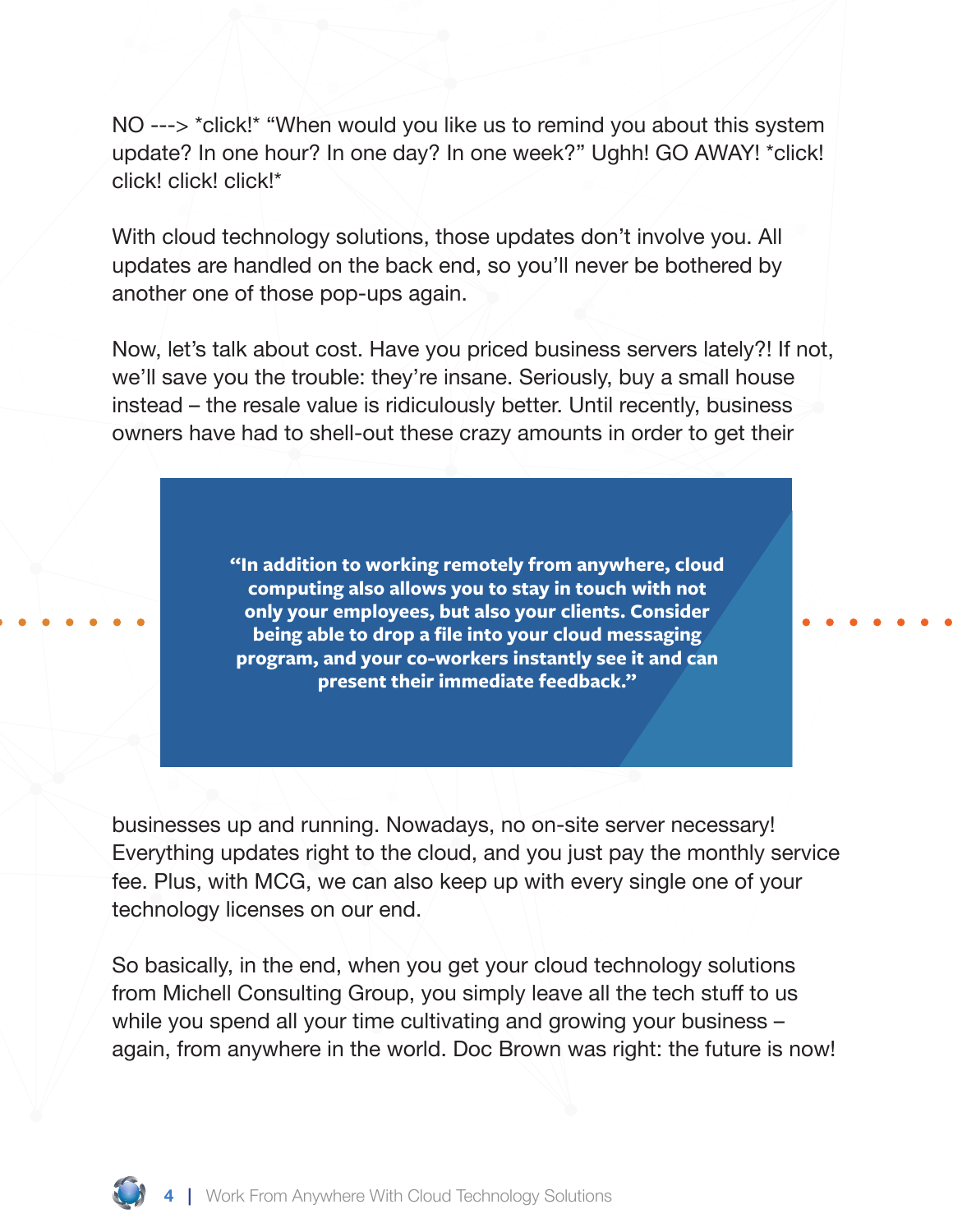NO ---> \*click!\* "When would you like us to remind you about this system update? In one hour? In one day? In one week?" Ughh! GO AWAY! \*click! click! click! click!\*

With cloud technology solutions, those updates don't involve you. All updates are handled on the back end, so you'll never be bothered by another one of those pop-ups again.

Now, let's talk about cost. Have you priced business servers lately?! If not, we'll save you the trouble: they're insane. Seriously, buy a small house instead – the resale value is ridiculously better. Until recently, business owners have had to shell-out these crazy amounts in order to get their

> **"In addition to working remotely from anywhere, cloud computing also allows you to stay in touch with not only your employees, but also your clients. Consider being able to drop a file into your cloud messaging program, and your co-workers instantly see it and can present their immediate feedback."**

businesses up and running. Nowadays, no on-site server necessary! Everything updates right to the cloud, and you just pay the monthly service fee. Plus, with MCG, we can also keep up with every single one of your technology licenses on our end.

So basically, in the end, when you get your cloud technology solutions from Michell Consulting Group, you simply leave all the tech stuff to us while you spend all your time cultivating and growing your business – again, from anywhere in the world. Doc Brown was right: the future is now!

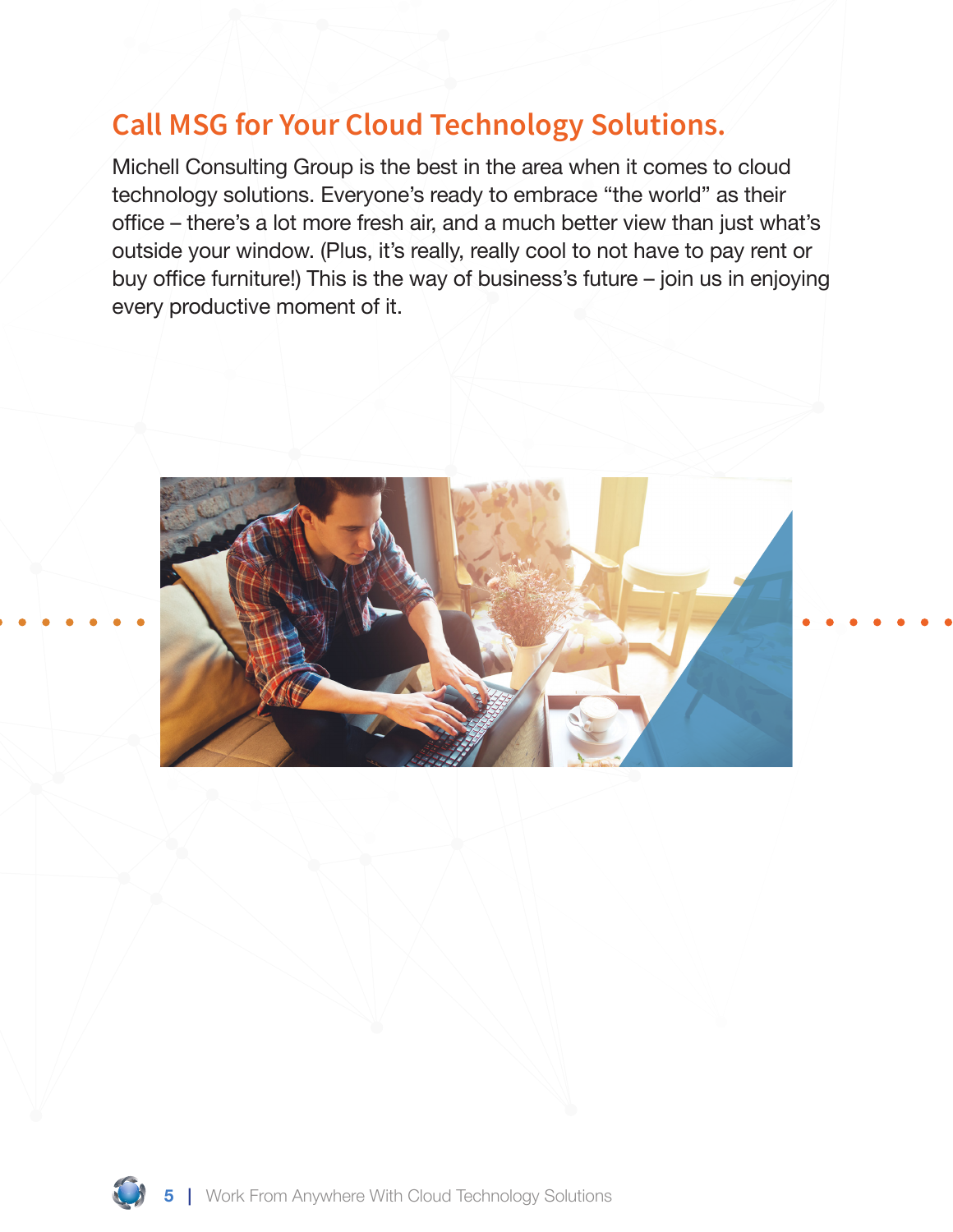## **Call MSG for Your Cloud Technology Solutions.**

Michell Consulting Group is the best in the area when it comes to cloud technology solutions. Everyone's ready to embrace "the world" as their office – there's a lot more fresh air, and a much better view than just what's outside your window. (Plus, it's really, really cool to not have to pay rent or buy office furniture!) This is the way of business's future – join us in enjoying every productive moment of it.